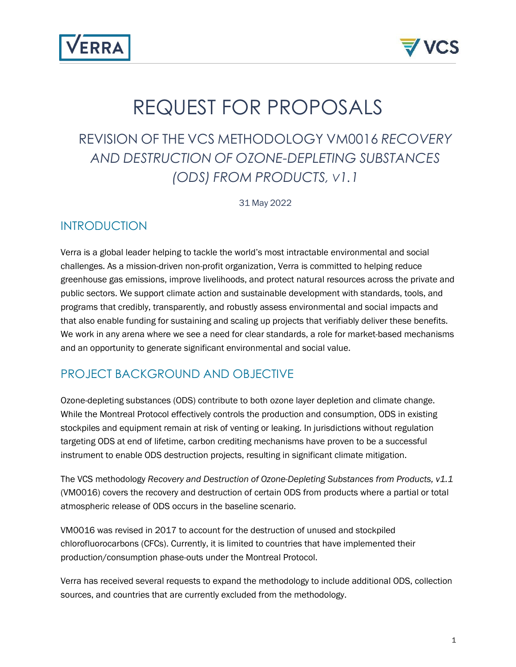



# REQUEST FOR PROPOSALS

# REVISION OF THE VCS METHODOLOGY VM0016 *RECOVERY AND DESTRUCTION OF OZONE-DEPLETING SUBSTANCES (ODS) FROM PRODUCTS, V1.1*

31 May 2022

### INTRODUCTION

Verra is a global leader helping to tackle the world's most intractable environmental and social challenges. As a mission-driven non-profit organization, Verra is committed to helping reduce greenhouse gas emissions, improve livelihoods, and protect natural resources across the private and public sectors. We support climate action and sustainable development with standards, tools, and programs that credibly, transparently, and robustly assess environmental and social impacts and that also enable funding for sustaining and scaling up projects that verifiably deliver these benefits. We work in any arena where we see a need for clear standards, a role for market-based mechanisms and an opportunity to generate significant environmental and social value.

# PROJECT BACKGROUND AND OBJECTIVE

Ozone-depleting substances (ODS) contribute to both ozone layer depletion and climate change. While the Montreal Protocol effectively controls the production and consumption, ODS in existing stockpiles and equipment remain at risk of venting or leaking. In jurisdictions without regulation targeting ODS at end of lifetime, carbon crediting mechanisms have proven to be a successful instrument to enable ODS destruction projects, resulting in significant climate mitigation.

The VCS methodology *Recovery and Destruction of Ozone-Depleting Substances from Products, v1.1* (VM0016) covers the recovery and destruction of certain ODS from products where a partial or total atmospheric release of ODS occurs in the baseline scenario.

VM0016 was revised in 2017 to account for the destruction of unused and stockpiled chlorofluorocarbons (CFCs). Currently, it is limited to countries that have implemented their production/consumption phase-outs under the Montreal Protocol.

Verra has received several requests to expand the methodology to include additional ODS, collection sources, and countries that are currently excluded from the methodology.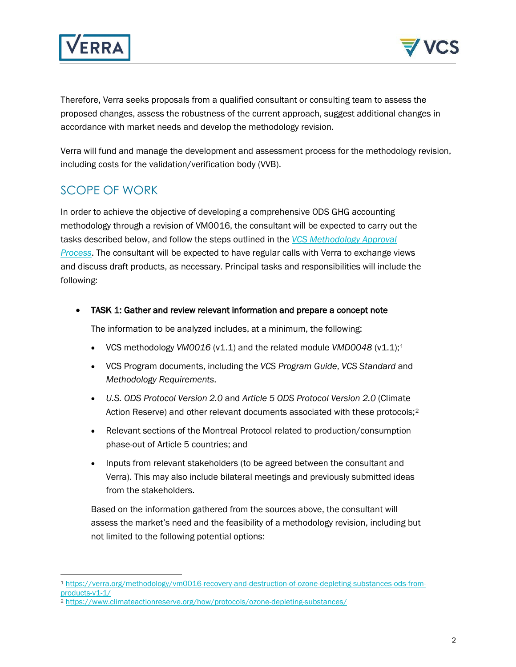



Therefore, Verra seeks proposals from a qualified consultant or consulting team to assess the proposed changes, assess the robustness of the current approach, suggest additional changes in accordance with market needs and develop the methodology revision.

Verra will fund and manage the development and assessment process for the methodology revision, including costs for the validation/verification body (VVB).

# SCOPE OF WORK

In order to achieve the objective of developing a comprehensive ODS GHG accounting methodology through a revision of VM0016, the consultant will be expected to carry out the tasks described below, and follow the steps outlined in the *[VCS Methodology Approval](https://verra.org/project/vcs-program/methodologies/develop-a-new-methodology/)  [Process](https://verra.org/project/vcs-program/methodologies/develop-a-new-methodology/)*. The consultant will be expected to have regular calls with Verra to exchange views and discuss draft products, as necessary. Principal tasks and responsibilities will include the following:

• TASK 1: Gather and review relevant information and prepare a concept note

The information to be analyzed includes, at a minimum, the following:

- VCS methodology *VM00[1](#page-1-0)6* (v1.1) and the related module *VMD0048* (v1.1);<sup>1</sup>
- VCS Program documents, including the *VCS Program Guide*, *VCS Standard* and *Methodology Requirements*.
- *U.S. ODS Protocol Version 2.0* and *Article 5 ODS Protocol Version 2.0* (Climate Action Reserve) and other relevant documents associated with these protocols;[2](#page-1-1)
- Relevant sections of the Montreal Protocol related to production/consumption phase-out of Article 5 countries; and
- Inputs from relevant stakeholders (to be agreed between the consultant and Verra). This may also include bilateral meetings and previously submitted ideas from the stakeholders.

Based on the information gathered from the sources above, the consultant will assess the market's need and the feasibility of a methodology revision, including but not limited to the following potential options:

<span id="page-1-0"></span><sup>1</sup> [https://verra.org/methodology/vm0016-recovery-and-destruction-of-ozone-depleting-substances-ods-from](https://verra.org/methodology/vm0016-recovery-and-destruction-of-ozone-depleting-substances-ods-from-products-v1-1/)[products-v1-1/](https://verra.org/methodology/vm0016-recovery-and-destruction-of-ozone-depleting-substances-ods-from-products-v1-1/)

<span id="page-1-1"></span><sup>2</sup> <https://www.climateactionreserve.org/how/protocols/ozone-depleting-substances/>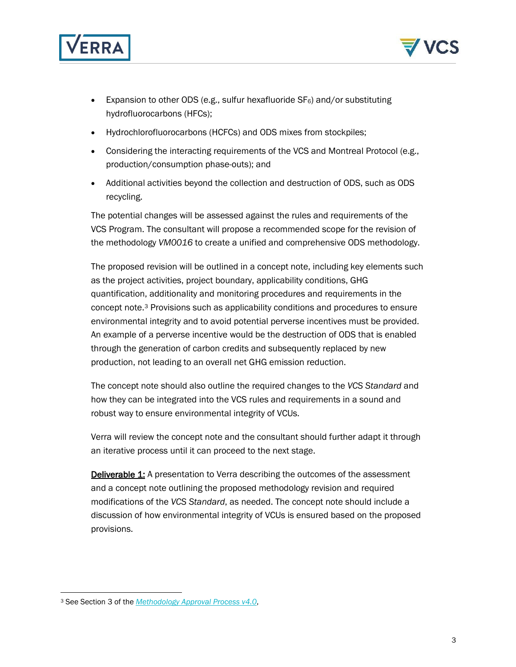



- Expansion to other ODS (e.g., sulfur hexafluoride  $SF_6$ ) and/or substituting hydrofluorocarbons (HFCs);
- Hydrochlorofluorocarbons (HCFCs) and ODS mixes from stockpiles;
- Considering the interacting requirements of the VCS and Montreal Protocol (e.g., production/consumption phase-outs); and
- Additional activities beyond the collection and destruction of ODS, such as ODS recycling.

The potential changes will be assessed against the rules and requirements of the VCS Program. The consultant will propose a recommended scope for the revision of the methodology *VM0016* to create a unified and comprehensive ODS methodology.

The proposed revision will be outlined in a concept note, including key elements such as the project activities, project boundary, applicability conditions, GHG quantification, additionality and monitoring procedures and requirements in the concept note.[3](#page-2-0) Provisions such as applicability conditions and procedures to ensure environmental integrity and to avoid potential perverse incentives must be provided. An example of a perverse incentive would be the destruction of ODS that is enabled through the generation of carbon credits and subsequently replaced by new production, not leading to an overall net GHG emission reduction.

The concept note should also outline the required changes to the *VCS Standard* and how they can be integrated into the VCS rules and requirements in a sound and robust way to ensure environmental integrity of VCUs.

Verra will review the concept note and the consultant should further adapt it through an iterative process until it can proceed to the next stage.

**Deliverable 1:** A presentation to Verra describing the outcomes of the assessment and a concept note outlining the proposed methodology revision and required modifications of the *VCS Standard*, as needed. The concept note should include a discussion of how environmental integrity of VCUs is ensured based on the proposed provisions.

<span id="page-2-0"></span><sup>3</sup> See Section 3 of the *[Methodology Approval Process v4.0](https://verra.org/wp-content/uploads/2019/09/Methodology_Approval_Process_v4.0.pdf)*,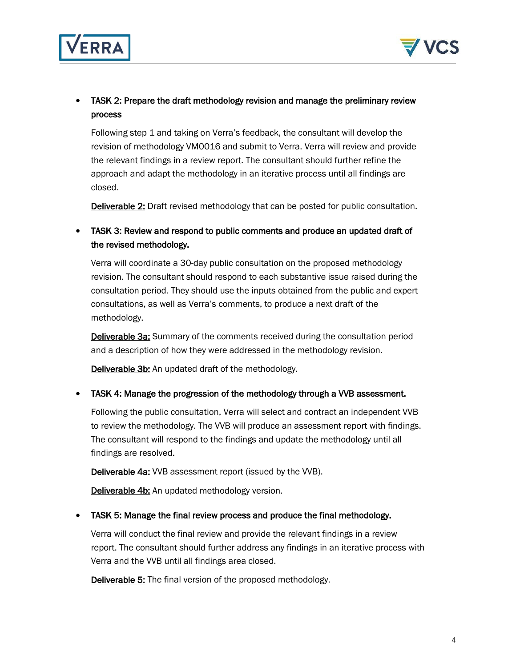



#### • TASK 2: Prepare the draft methodology revision and manage the preliminary review process

Following step 1 and taking on Verra's feedback, the consultant will develop the revision of methodology VM0016 and submit to Verra. Verra will review and provide the relevant findings in a review report. The consultant should further refine the approach and adapt the methodology in an iterative process until all findings are closed.

Deliverable 2: Draft revised methodology that can be posted for public consultation.

#### • TASK 3: Review and respond to public comments and produce an updated draft of the revised methodology.

Verra will coordinate a 30-day public consultation on the proposed methodology revision. The consultant should respond to each substantive issue raised during the consultation period. They should use the inputs obtained from the public and expert consultations, as well as Verra's comments, to produce a next draft of the methodology.

**Deliverable 3a:** Summary of the comments received during the consultation period and a description of how they were addressed in the methodology revision.

**Deliverable 3b:** An updated draft of the methodology.

• TASK 4: Manage the progression of the methodology through a VVB assessment.

Following the public consultation, Verra will select and contract an independent VVB to review the methodology. The VVB will produce an assessment report with findings. The consultant will respond to the findings and update the methodology until all findings are resolved.

**Deliverable 4a:** VVB assessment report (issued by the VVB).

**Deliverable 4b:** An updated methodology version.

• TASK 5: Manage the final review process and produce the final methodology.

Verra will conduct the final review and provide the relevant findings in a review report. The consultant should further address any findings in an iterative process with Verra and the VVB until all findings area closed.

Deliverable 5: The final version of the proposed methodology.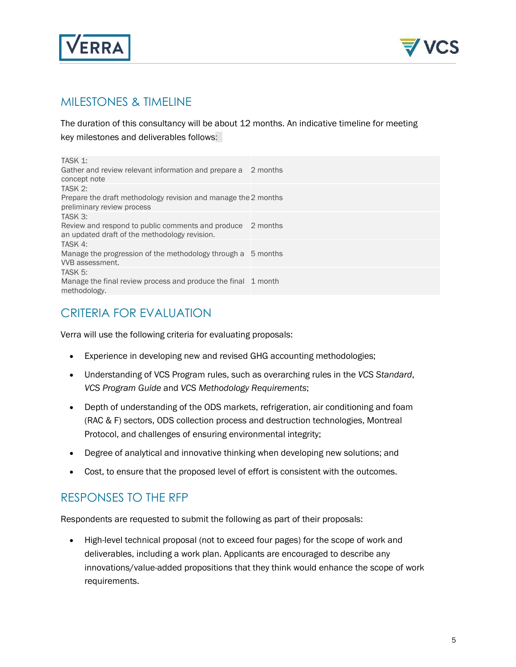



## MILESTONES & TIMELINE

The duration of this consultancy will be about 12 months. An indicative timeline for meeting key milestones and deliverables follows:

| TASK 1:<br>Gather and review relevant information and prepare a<br>concept note                    | 2 months |
|----------------------------------------------------------------------------------------------------|----------|
| TASK 2:                                                                                            |          |
| Prepare the draft methodology revision and manage the 2 months<br>preliminary review process       |          |
| TASK 3:                                                                                            |          |
| Review and respond to public comments and produce<br>an updated draft of the methodology revision. | 2 months |
| TASK 4:                                                                                            |          |
| Manage the progression of the methodology through a 5 months<br>VVB assessment.                    |          |
| TASK 5:                                                                                            |          |
| Manage the final review process and produce the final 1 month<br>methodology.                      |          |
|                                                                                                    |          |

# CRITERIA FOR EVALUATION

Verra will use the following criteria for evaluating proposals:

- Experience in developing new and revised GHG accounting methodologies;
- Understanding of VCS Program rules, such as overarching rules in the *VCS Standard*, *VCS Program Guide* and *VCS Methodology Requirements*;
- Depth of understanding of the ODS markets, refrigeration, air conditioning and foam (RAC & F) sectors, ODS collection process and destruction technologies, Montreal Protocol, and challenges of ensuring environmental integrity;
- Degree of analytical and innovative thinking when developing new solutions; and
- Cost, to ensure that the proposed level of effort is consistent with the outcomes.

# RESPONSES TO THE RFP

Respondents are requested to submit the following as part of their proposals:

• High-level technical proposal (not to exceed four pages) for the scope of work and deliverables, including a work plan. Applicants are encouraged to describe any innovations/value-added propositions that they think would enhance the scope of work requirements.